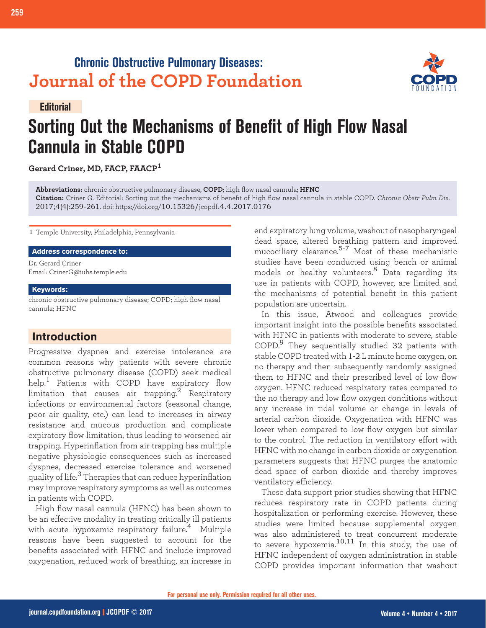# **Chronic Obstructive Pulmonary Diseases: Journal of the COPD Foundation**



# **Sorting Out the Mechanisms of Benefit of High Flow Nasal Cannula in Stable COPD**

**Gerard Criner, MD, FACP, FAACP<sup>1</sup>**

**Abbreviations:** chronic obstructive pulmonary disease, **COPD**; high flow nasal cannula; **HFNC**

**Citation:** Criner G. Editorial: Sorting out the mechanisms of benefit of high flow nasal cannula in stable COPD. *Chronic Obstr Pulm Dis*. 2017;4(4):259-261. doi: https://doi.org/10.15326/jcopdf.4.4.2017.0176

1 Temple University, Philadelphia, Pennsylvania

#### **Address correspondence to:**

Dr. Gerard Criner Email: CrinerG@tuhs.temple.edu

#### **Keywords:**

**Editorial**

chronic obstructive pulmonary disease; COPD; high flow nasal cannula; HFNC

## **Introduction**

Progressive dyspnea and exercise intolerance are common reasons why patients with severe chronic obstructive pulmonary disease (COPD) seek medical help.<sup>1</sup> Patients with COPD have expiratory flow limitation that causes air trapping.<sup>2</sup> Respiratory infections or environmental factors (seasonal change, poor air quality, etc.) can lead to increases in airway resistance and mucous production and complicate expiratory flow limitation, thus leading to worsened air trapping. Hyperinflation from air trapping has multiple negative physiologic consequences such as increased dyspnea, decreased exercise tolerance and worsened quality of life.<sup>3</sup> Therapies that can reduce hyperinflation may improve respiratory symptoms as well as outcomes in patients with COPD.

High flow nasal cannula (HFNC) has been shown to be an effective modality in treating critically ill patients with acute hypoxemic respiratory failure.<sup>4</sup> Multiple reasons have been suggested to account for the benefits associated with HFNC and include improved oxygenation, reduced work of breathing, an increase in

end expiratory lung volume, washout of nasopharyngeal dead space, altered breathing pattern and improved mucociliary clearance.5-7 Most of these mechanistic studies have been conducted using bench or animal models or healthy volunteers.8 Data regarding its use in patients with COPD, however, are limited and the mechanisms of potential benefit in this patient population are uncertain.

In this issue, Atwood and colleagues provide important insight into the possible benefits associated with HFNC in patients with moderate to severe, stable COPD.9 They sequentially studied 32 patients with stable COPD treated with 1-2 L minute home oxygen, on no therapy and then subsequently randomly assigned them to HFNC and their prescribed level of low flow oxygen. HFNC reduced respiratory rates compared to the no therapy and low flow oxygen conditions without any increase in tidal volume or change in levels of arterial carbon dioxide. Oxygenation with HFNC was lower when compared to low flow oxygen but similar to the control. The reduction in ventilatory effort with HFNC with no change in carbon dioxide or oxygenation parameters suggests that HFNC purges the anatomic dead space of carbon dioxide and thereby improves ventilatory efficiency.

These data support prior studies showing that HFNC reduces respiratory rate in COPD patients during hospitalization or performing exercise. However, these studies were limited because supplemental oxygen was also administered to treat concurrent moderate to severe hypoxemia. $10,11$  In this study, the use of HFNC independent of oxygen administration in stable COPD provides important information that washout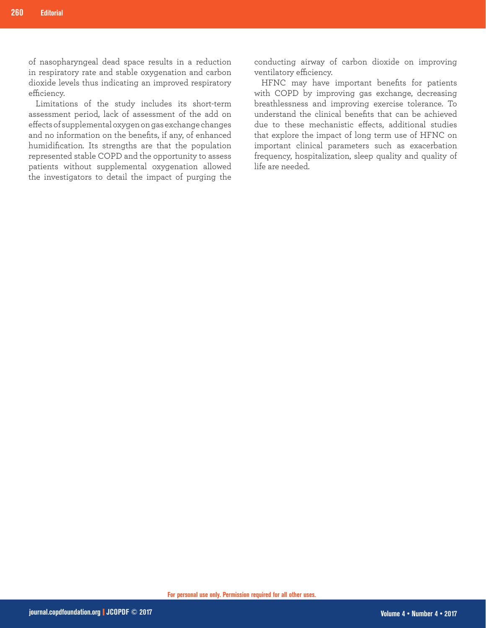of nasopharyngeal dead space results in a reduction in respiratory rate and stable oxygenation and carbon dioxide levels thus indicating an improved respiratory efficiency.

Limitations of the study includes its short-term assessment period, lack of assessment of the add on effects of supplemental oxygen on gas exchange changes and no information on the benefits, if any, of enhanced humidification. Its strengths are that the population represented stable COPD and the opportunity to assess patients without supplemental oxygenation allowed the investigators to detail the impact of purging the

conducting airway of carbon dioxide on improving ventilatory efficiency.

HFNC may have important benefits for patients with COPD by improving gas exchange, decreasing breathlessness and improving exercise tolerance. To understand the clinical benefits that can be achieved due to these mechanistic effects, additional studies that explore the impact of long term use of HFNC on important clinical parameters such as exacerbation frequency, hospitalization, sleep quality and quality of life are needed.